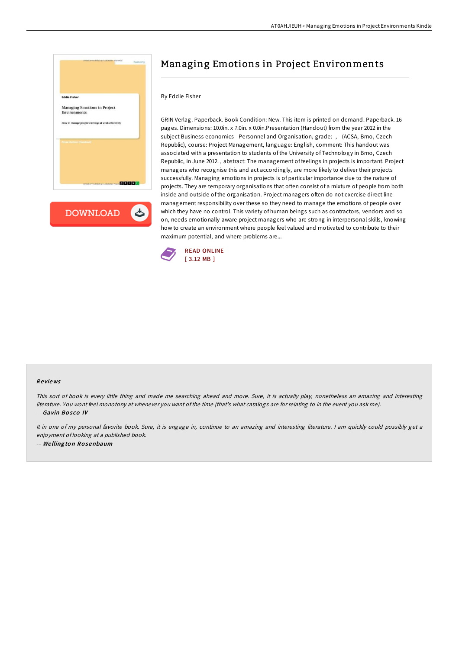

## Managing Emotions in Project Environments

## By Eddie Fisher

GRIN Verlag. Paperback. Book Condition: New. This item is printed on demand. Paperback. 16 pages. Dimensions: 10.0in. x 7.0in. x 0.0in.Presentation (Handout) from the year 2012 in the subject Business economics - Personnel and Organisation, grade: -, - (ACSA, Brno, Czech Republic), course: Project Management, language: English, comment: This handout was associated with a presentation to students of the University of Technology in Brno, Czech Republic, in June 2012. , abstract: The management of feelings in projects is important. Project managers who recognise this and act accordingly, are more likely to deliver their projects successfully. Managing emotions in projects is of particular importance due to the nature of projects. They are temporary organisations that often consist of a mixture of people from both inside and outside of the organisation. Project managers often do not exercise direct line management responsibility over these so they need to manage the emotions of people over which they have no control. This variety of human beings such as contractors, vendors and so on, needs emotionally-aware project managers who are strong in interpersonal skills, knowing how to create an environment where people feel valued and motivated to contribute to their maximum potential, and where problems are...



## Re views

This sort of book is every little thing and made me searching ahead and more. Sure, it is actually play, nonetheless an amazing and interesting literature. You wont feel monotony at whenever you want ofthe time (that's what catalogs are for relating to in the event you ask me). -- Gavin Bosco IV

It in one of my personal favorite book. Sure, it is engage in, continue to an amazing and interesting literature. <sup>I</sup> am quickly could possibly get <sup>a</sup> enjoyment of looking at <sup>a</sup> published book. -- We lling to <sup>n</sup> Ro senbaum